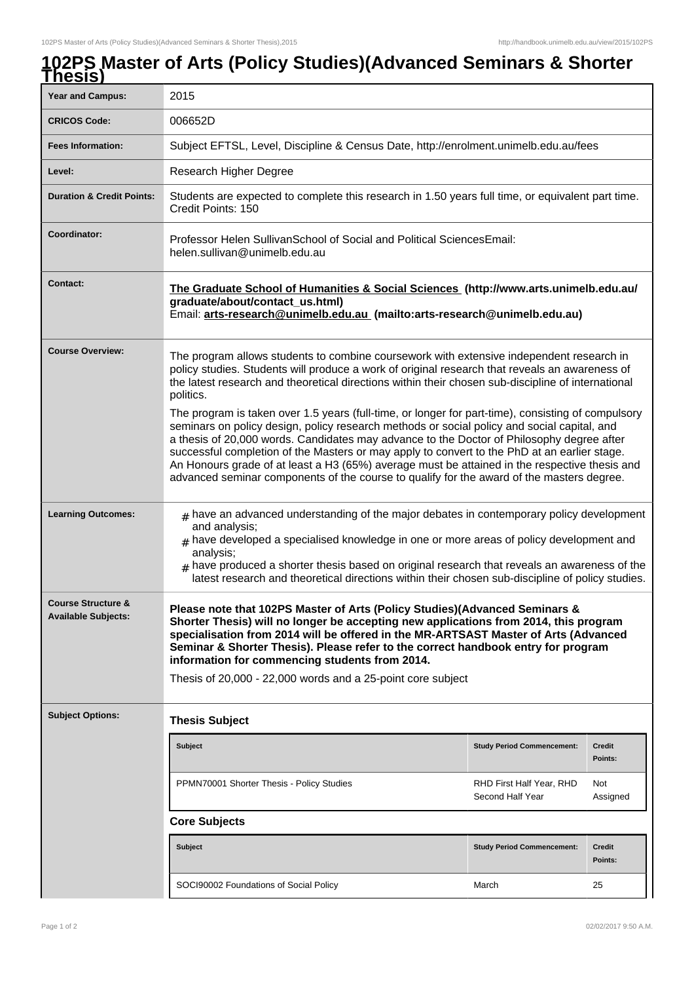## **102PS Master of Arts (Policy Studies)(Advanced Seminars & Shorter Thesis)**

| <b>Year and Campus:</b>                                     | 2015                                                                                                                                                                                                                                                                                                                                                                                                                                                                                                                                                                                         |                                              |                   |  |  |
|-------------------------------------------------------------|----------------------------------------------------------------------------------------------------------------------------------------------------------------------------------------------------------------------------------------------------------------------------------------------------------------------------------------------------------------------------------------------------------------------------------------------------------------------------------------------------------------------------------------------------------------------------------------------|----------------------------------------------|-------------------|--|--|
| <b>CRICOS Code:</b>                                         | 006652D                                                                                                                                                                                                                                                                                                                                                                                                                                                                                                                                                                                      |                                              |                   |  |  |
| <b>Fees Information:</b>                                    | Subject EFTSL, Level, Discipline & Census Date, http://enrolment.unimelb.edu.au/fees                                                                                                                                                                                                                                                                                                                                                                                                                                                                                                         |                                              |                   |  |  |
| Level:                                                      | Research Higher Degree                                                                                                                                                                                                                                                                                                                                                                                                                                                                                                                                                                       |                                              |                   |  |  |
|                                                             |                                                                                                                                                                                                                                                                                                                                                                                                                                                                                                                                                                                              |                                              |                   |  |  |
| <b>Duration &amp; Credit Points:</b>                        | Students are expected to complete this research in 1.50 years full time, or equivalent part time.<br>Credit Points: 150                                                                                                                                                                                                                                                                                                                                                                                                                                                                      |                                              |                   |  |  |
| Coordinator:                                                | Professor Helen Sullivan School of Social and Political Sciences Email:<br>helen.sullivan@unimelb.edu.au                                                                                                                                                                                                                                                                                                                                                                                                                                                                                     |                                              |                   |  |  |
| <b>Contact:</b>                                             | The Graduate School of Humanities & Social Sciences (http://www.arts.unimelb.edu.au/<br>graduate/about/contact_us.html)<br>Email: arts-research@unimelb.edu.au (mailto:arts-research@unimelb.edu.au)                                                                                                                                                                                                                                                                                                                                                                                         |                                              |                   |  |  |
| <b>Course Overview:</b>                                     | The program allows students to combine coursework with extensive independent research in<br>policy studies. Students will produce a work of original research that reveals an awareness of<br>the latest research and theoretical directions within their chosen sub-discipline of international<br>politics.                                                                                                                                                                                                                                                                                |                                              |                   |  |  |
|                                                             | The program is taken over 1.5 years (full-time, or longer for part-time), consisting of compulsory<br>seminars on policy design, policy research methods or social policy and social capital, and<br>a thesis of 20,000 words. Candidates may advance to the Doctor of Philosophy degree after<br>successful completion of the Masters or may apply to convert to the PhD at an earlier stage.<br>An Honours grade of at least a H3 (65%) average must be attained in the respective thesis and<br>advanced seminar components of the course to qualify for the award of the masters degree. |                                              |                   |  |  |
| <b>Learning Outcomes:</b>                                   | $*$ have an advanced understanding of the major debates in contemporary policy development<br>and analysis;<br>$#$ have developed a specialised knowledge in one or more areas of policy development and<br>analysis;<br>$#$ have produced a shorter thesis based on original research that reveals an awareness of the<br>latest research and theoretical directions within their chosen sub-discipline of policy studies.                                                                                                                                                                  |                                              |                   |  |  |
| <b>Course Structure &amp;</b><br><b>Available Subjects:</b> | Please note that 102PS Master of Arts (Policy Studies)(Advanced Seminars &<br>Shorter Thesis) will no longer be accepting new applications from 2014, this program<br>specialisation from 2014 will be offered in the MR-ARTSAST Master of Arts (Advanced<br>Seminar & Shorter Thesis). Please refer to the correct handbook entry for program<br>information for commencing students from 2014.<br>Thesis of 20,000 - 22,000 words and a 25-point core subject                                                                                                                              |                                              |                   |  |  |
| <b>Subject Options:</b>                                     | <b>Thesis Subject</b>                                                                                                                                                                                                                                                                                                                                                                                                                                                                                                                                                                        |                                              |                   |  |  |
|                                                             | <b>Subject</b>                                                                                                                                                                                                                                                                                                                                                                                                                                                                                                                                                                               | <b>Study Period Commencement:</b>            | Credit<br>Points: |  |  |
|                                                             | PPMN70001 Shorter Thesis - Policy Studies                                                                                                                                                                                                                                                                                                                                                                                                                                                                                                                                                    | RHD First Half Year, RHD<br>Second Half Year | Not<br>Assigned   |  |  |
|                                                             | <b>Core Subjects</b>                                                                                                                                                                                                                                                                                                                                                                                                                                                                                                                                                                         |                                              |                   |  |  |
|                                                             | <b>Subject</b>                                                                                                                                                                                                                                                                                                                                                                                                                                                                                                                                                                               | <b>Study Period Commencement:</b>            | Credit<br>Points: |  |  |
|                                                             | SOCI90002 Foundations of Social Policy                                                                                                                                                                                                                                                                                                                                                                                                                                                                                                                                                       | March                                        | 25                |  |  |